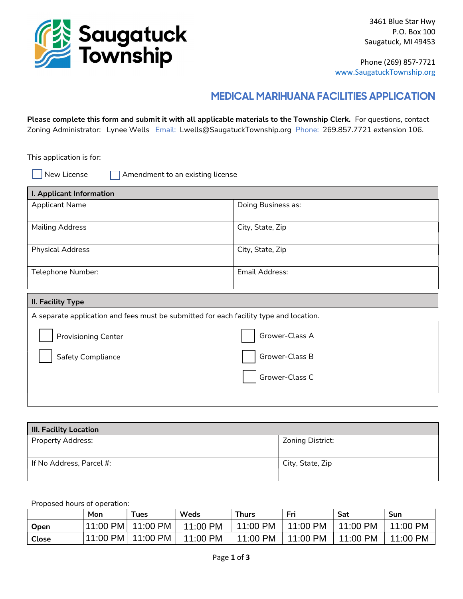

Phone (269) 857-7721 www.SaugatuckTownship.org

## MEDICAL MARIHUANA FACILITIES APPLICATION

Please complete this form and submit it with all applicable materials to the Township Clerk. For questions, contact Zoning Administrator: Lynee Wells Email: Lwells@SaugatuckTownship.org Phone: 269.857.7721 extension 106.

This application is for:

 $\Box$  New License  $\Box$  Amendment to an existing license

| I. Applicant Information |                    |
|--------------------------|--------------------|
| <b>Applicant Name</b>    | Doing Business as: |
|                          |                    |
| <b>Mailing Address</b>   | City, State, Zip   |
|                          |                    |
| <b>Physical Address</b>  | City, State, Zip   |
|                          |                    |
| Telephone Number:        | Email Address:     |
|                          |                    |
|                          |                    |
| <b>II. Facility Type</b> |                    |

| $m \cdot w$                                                                            |                |
|----------------------------------------------------------------------------------------|----------------|
| A separate application and fees must be submitted for each facility type and location. |                |
| <b>Provisioning Center</b>                                                             | Grower-Class A |
| Safety Compliance                                                                      | Grower-Class B |
|                                                                                        | Grower-Class C |
|                                                                                        |                |

| <b>III. Facility Location</b>  |                  |
|--------------------------------|------------------|
| <sup>1</sup> Property Address: | Zoning District: |
|                                |                  |
| If No Address, Parcel #:       | City, State, Zip |
|                                |                  |

Proposed hours of operation:

|              | Mon      | $\tau_{\textsf{ues}}$ | Weds     | <b>Thurs</b> | Fri      | Sat      | Sun      |
|--------------|----------|-----------------------|----------|--------------|----------|----------|----------|
| Open         | 11:00 PM | 11:00 PM,             | 11:00 PM | 11:00 PM     | 11:00 PM | 11:00 PM | 11:00 PM |
| <b>Close</b> | 11:00 PM | 11:00 PM              | 11:00 PM | 11:00 PM     | 11:00 PM | 11:00 PM | 11:00 PM |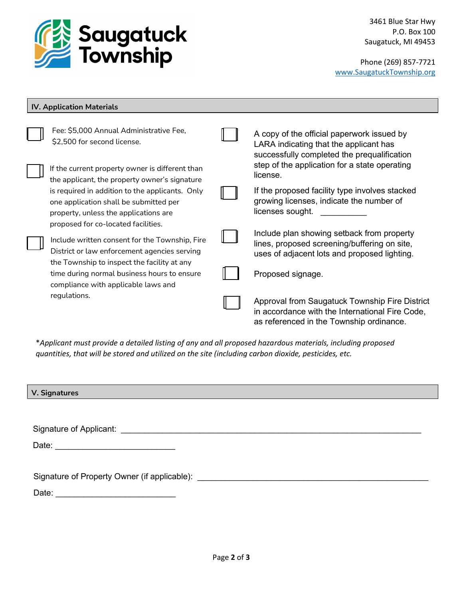

| <b>IV. Application Materials</b>                                                                                                                                          |                                                                                                                                               |
|---------------------------------------------------------------------------------------------------------------------------------------------------------------------------|-----------------------------------------------------------------------------------------------------------------------------------------------|
| Fee: \$5,000 Annual Administrative Fee,<br>\$2,500 for second license.                                                                                                    | A copy of the official paperwork issued by<br>LARA indicating that the applicant has<br>successfully completed the prequalification           |
| If the current property owner is different than<br>the applicant, the property owner's signature                                                                          | step of the application for a state operating<br>license.                                                                                     |
| is required in addition to the applicants. Only<br>one application shall be submitted per<br>property, unless the applications are<br>proposed for co-located facilities. | If the proposed facility type involves stacked<br>growing licenses, indicate the number of<br>licenses sought.                                |
| Include written consent for the Township, Fire<br>District or law enforcement agencies serving<br>the Township to inspect the facility at any                             | Include plan showing setback from property<br>lines, proposed screening/buffering on site,<br>uses of adjacent lots and proposed lighting.    |
| time during normal business hours to ensure<br>compliance with applicable laws and                                                                                        | Proposed signage.                                                                                                                             |
| regulations.                                                                                                                                                              | Approval from Saugatuck Township Fire District<br>in accordance with the International Fire Code,<br>as referenced in the Township ordinance. |

\*Applicant must provide a detailed listing of any and all proposed hazardous materials, including proposed quantities, that will be stored and utilized on the site (including carbon dioxide, pesticides, etc.

| <b>V. Signatures</b> |  |
|----------------------|--|
|----------------------|--|

Signature of Applicant:  $\Box$ 

Date: \_\_\_\_\_\_\_\_\_\_\_\_\_\_\_\_\_\_\_\_\_\_\_\_\_\_

|  | Signature of Property Owner (if applicable): |  |  |
|--|----------------------------------------------|--|--|
|--|----------------------------------------------|--|--|

Date: \_\_\_\_\_\_\_\_\_\_\_\_\_\_\_\_\_\_\_\_\_\_\_\_\_\_